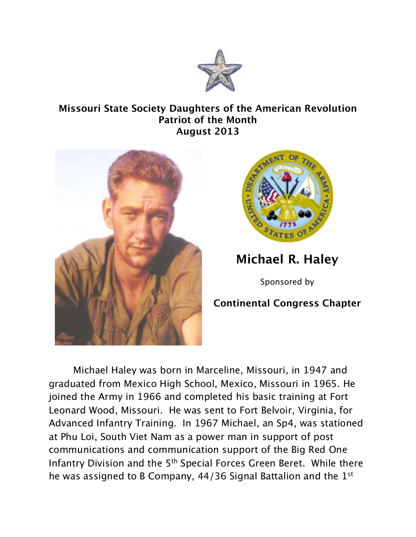

## **Missouri State Society Daughters of the American Revolution Patriot of the Month August 2013**





**Michael R. Haley**

Sponsored by

## **Continental Congress Chapter**

Michael Haley was born in Marceline, Missouri, in 1947 and graduated from Mexico High School, Mexico, Missouri in 1965. He joined the Army in 1966 and completed his basic training at Fort Leonard Wood, Missouri. He was sent to Fort Belvoir, Virginia, for Advanced Infantry Training. In 1967 Michael, an Sp4, was stationed at Phu Loi, South Viet Nam as a power man in support of post communications and communication support of the Big Red One Infantry Division and the 5<sup>th</sup> Special Forces Green Beret. While there he was assigned to B Company, 44/36 Signal Battalion and the 1<sup>st</sup>